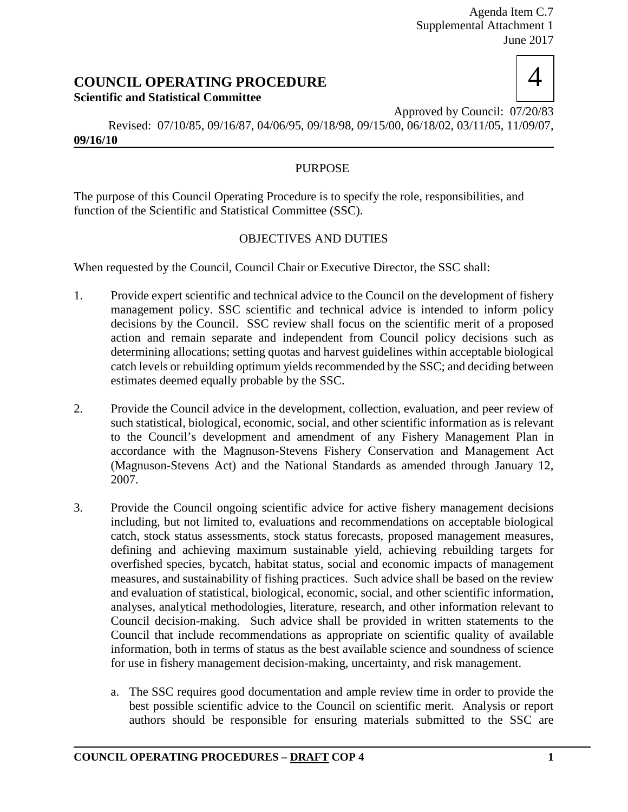# **COUNCIL OPERATING PROCEDURE Scientific and Statistical Committee**



Approved by Council: 07/20/83 Revised: 07/10/85, 09/16/87, 04/06/95, 09/18/98, 09/15/00, 06/18/02, 03/11/05, 11/09/07, **09/16/10**

## PURPOSE

The purpose of this Council Operating Procedure is to specify the role, responsibilities, and function of the Scientific and Statistical Committee (SSC).

## OBJECTIVES AND DUTIES

When requested by the Council, Council Chair or Executive Director, the SSC shall:

- 1. Provide expert scientific and technical advice to the Council on the development of fishery management policy. SSC scientific and technical advice is intended to inform policy decisions by the Council. SSC review shall focus on the scientific merit of a proposed action and remain separate and independent from Council policy decisions such as determining allocations; setting quotas and harvest guidelines within acceptable biological catch levels or rebuilding optimum yields recommended by the SSC; and deciding between estimates deemed equally probable by the SSC.
- 2. Provide the Council advice in the development, collection, evaluation, and peer review of such statistical, biological, economic, social, and other scientific information as is relevant to the Council's development and amendment of any Fishery Management Plan in accordance with the Magnuson-Stevens Fishery Conservation and Management Act (Magnuson-Stevens Act) and the National Standards as amended through January 12, 2007.
- 3. Provide the Council ongoing scientific advice for active fishery management decisions including, but not limited to, evaluations and recommendations on acceptable biological catch, stock status assessments, stock status forecasts, proposed management measures, defining and achieving maximum sustainable yield, achieving rebuilding targets for overfished species, bycatch, habitat status, social and economic impacts of management measures, and sustainability of fishing practices. Such advice shall be based on the review and evaluation of statistical, biological, economic, social, and other scientific information, analyses, analytical methodologies, literature, research, and other information relevant to Council decision-making. Such advice shall be provided in written statements to the Council that include recommendations as appropriate on scientific quality of available information, both in terms of status as the best available science and soundness of science for use in fishery management decision-making, uncertainty, and risk management.
	- a. The SSC requires good documentation and ample review time in order to provide the best possible scientific advice to the Council on scientific merit. Analysis or report authors should be responsible for ensuring materials submitted to the SSC are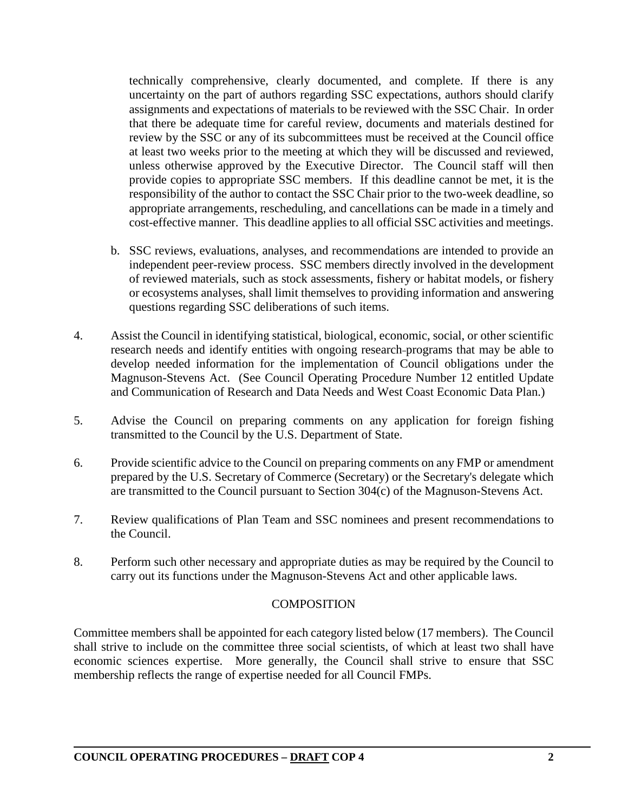technically comprehensive, clearly documented, and complete. If there is any uncertainty on the part of authors regarding SSC expectations, authors should clarify assignments and expectations of materials to be reviewed with the SSC Chair. In order that there be adequate time for careful review, documents and materials destined for review by the SSC or any of its subcommittees must be received at the Council office at least two weeks prior to the meeting at which they will be discussed and reviewed, unless otherwise approved by the Executive Director. The Council staff will then provide copies to appropriate SSC members. If this deadline cannot be met, it is the responsibility of the author to contact the SSC Chair prior to the two-week deadline, so appropriate arrangements, rescheduling, and cancellations can be made in a timely and cost-effective manner. This deadline applies to all official SSC activities and meetings.

- b. SSC reviews, evaluations, analyses, and recommendations are intended to provide an independent peer-review process. SSC members directly involved in the development of reviewed materials, such as stock assessments, fishery or habitat models, or fishery or ecosystems analyses, shall limit themselves to providing information and answering questions regarding SSC deliberations of such items.
- 4. Assist the Council in identifying statistical, biological, economic, social, or other scientific research needs and identify entities with ongoing research programs that may be able to develop needed information for the implementation of Council obligations under the Magnuson-Stevens Act. (See Council Operating Procedure Number 12 entitled Update and Communication of Research and Data Needs and West Coast Economic Data Plan.)
- 5. Advise the Council on preparing comments on any application for foreign fishing transmitted to the Council by the U.S. Department of State.
- 6. Provide scientific advice to the Council on preparing comments on any FMP or amendment prepared by the U.S. Secretary of Commerce (Secretary) or the Secretary's delegate which are transmitted to the Council pursuant to Section 304(c) of the Magnuson-Stevens Act.
- 7. Review qualifications of Plan Team and SSC nominees and present recommendations to the Council.
- 8. Perform such other necessary and appropriate duties as may be required by the Council to carry out its functions under the Magnuson-Stevens Act and other applicable laws.

## **COMPOSITION**

Committee members shall be appointed for each category listed below (17 members). The Council shall strive to include on the committee three social scientists, of which at least two shall have economic sciences expertise. More generally, the Council shall strive to ensure that SSC membership reflects the range of expertise needed for all Council FMPs.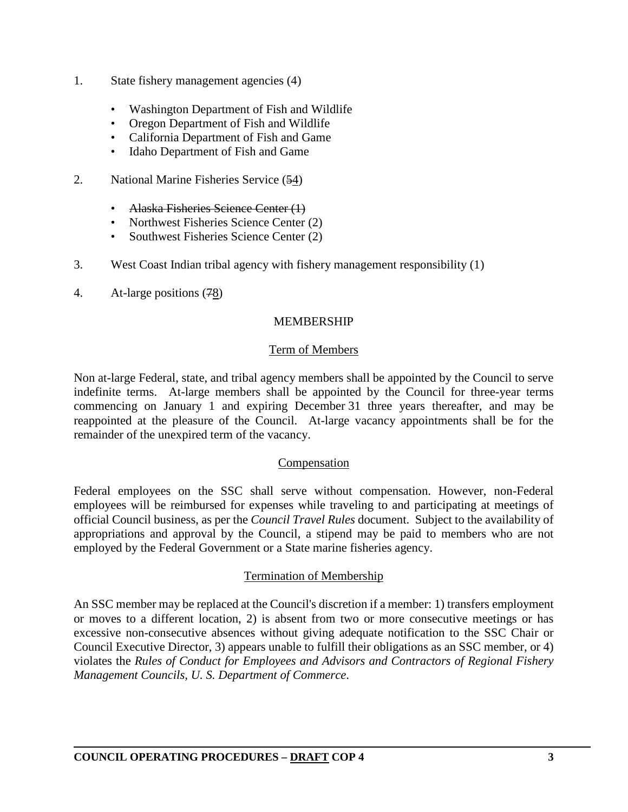- 1. State fishery management agencies (4)
	- Washington Department of Fish and Wildlife
	- Oregon Department of Fish and Wildlife
	- California Department of Fish and Game
	- Idaho Department of Fish and Game
- 2. National Marine Fisheries Service (54)
	- Alaska Fisheries Science Center (1)
	- Northwest Fisheries Science Center (2)
	- Southwest Fisheries Science Center (2)
- 3. West Coast Indian tribal agency with fishery management responsibility (1)
- 4. At-large positions (78)

#### MEMBERSHIP

#### Term of Members

Non at-large Federal, state, and tribal agency members shall be appointed by the Council to serve indefinite terms. At-large members shall be appointed by the Council for three-year terms commencing on January 1 and expiring December 31 three years thereafter, and may be reappointed at the pleasure of the Council. At-large vacancy appointments shall be for the remainder of the unexpired term of the vacancy.

#### Compensation

Federal employees on the SSC shall serve without compensation. However, non-Federal employees will be reimbursed for expenses while traveling to and participating at meetings of official Council business, as per the *Council Travel Rules* document. Subject to the availability of appropriations and approval by the Council, a stipend may be paid to members who are not employed by the Federal Government or a State marine fisheries agency.

#### Termination of Membership

An SSC member may be replaced at the Council's discretion if a member: 1) transfers employment or moves to a different location, 2) is absent from two or more consecutive meetings or has excessive non-consecutive absences without giving adequate notification to the SSC Chair or Council Executive Director, 3) appears unable to fulfill their obligations as an SSC member, or 4) violates the *Rules of Conduct for Employees and Advisors and Contractors of Regional Fishery Management Councils, U. S. Department of Commerce*.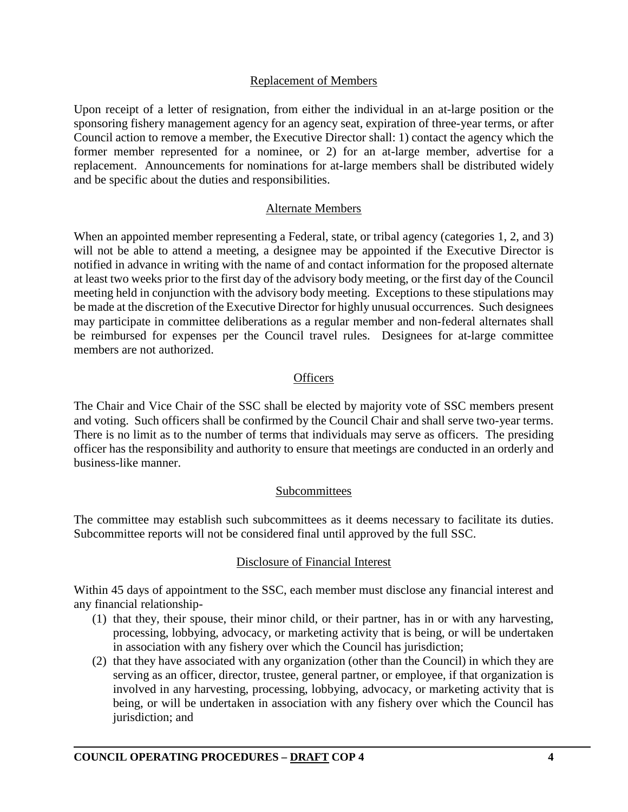#### Replacement of Members

Upon receipt of a letter of resignation, from either the individual in an at-large position or the sponsoring fishery management agency for an agency seat, expiration of three-year terms, or after Council action to remove a member, the Executive Director shall: 1) contact the agency which the former member represented for a nominee, or 2) for an at-large member, advertise for a replacement. Announcements for nominations for at-large members shall be distributed widely and be specific about the duties and responsibilities.

#### Alternate Members

When an appointed member representing a Federal, state, or tribal agency (categories 1, 2, and 3) will not be able to attend a meeting, a designee may be appointed if the Executive Director is notified in advance in writing with the name of and contact information for the proposed alternate at least two weeks prior to the first day of the advisory body meeting, or the first day of the Council meeting held in conjunction with the advisory body meeting. Exceptions to these stipulations may be made at the discretion of the Executive Director for highly unusual occurrences. Such designees may participate in committee deliberations as a regular member and non-federal alternates shall be reimbursed for expenses per the Council travel rules. Designees for at-large committee members are not authorized.

#### **Officers**

The Chair and Vice Chair of the SSC shall be elected by majority vote of SSC members present and voting. Such officers shall be confirmed by the Council Chair and shall serve two-year terms. There is no limit as to the number of terms that individuals may serve as officers. The presiding officer has the responsibility and authority to ensure that meetings are conducted in an orderly and business-like manner.

#### Subcommittees

The committee may establish such subcommittees as it deems necessary to facilitate its duties. Subcommittee reports will not be considered final until approved by the full SSC.

#### Disclosure of Financial Interest

Within 45 days of appointment to the SSC, each member must disclose any financial interest and any financial relationship-

- (1) that they, their spouse, their minor child, or their partner, has in or with any harvesting, processing, lobbying, advocacy, or marketing activity that is being, or will be undertaken in association with any fishery over which the Council has jurisdiction;
- (2) that they have associated with any organization (other than the Council) in which they are serving as an officer, director, trustee, general partner, or employee, if that organization is involved in any harvesting, processing, lobbying, advocacy, or marketing activity that is being, or will be undertaken in association with any fishery over which the Council has jurisdiction; and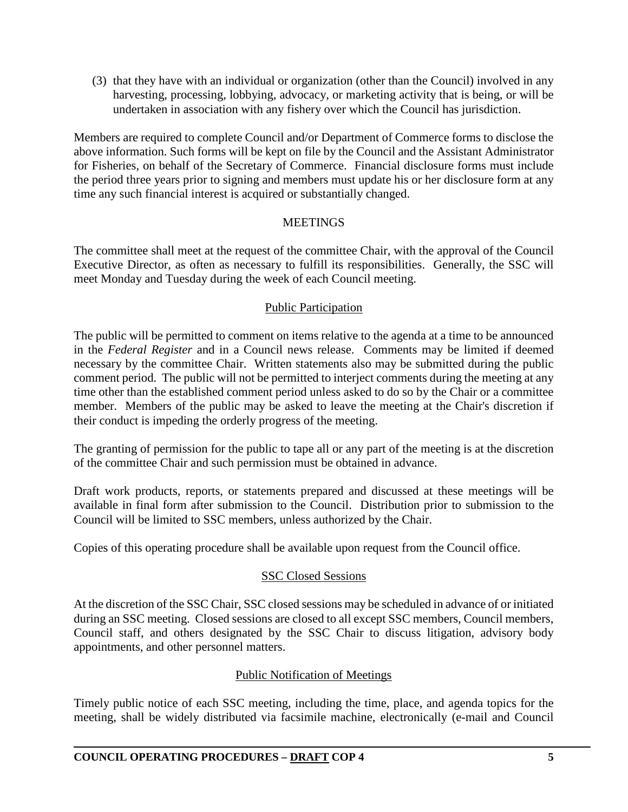(3) that they have with an individual or organization (other than the Council) involved in any harvesting, processing, lobbying, advocacy, or marketing activity that is being, or will be undertaken in association with any fishery over which the Council has jurisdiction.

Members are required to complete Council and/or Department of Commerce forms to disclose the above information. Such forms will be kept on file by the Council and the Assistant Administrator for Fisheries, on behalf of the Secretary of Commerce. Financial disclosure forms must include the period three years prior to signing and members must update his or her disclosure form at any time any such financial interest is acquired or substantially changed.

## **MEETINGS**

The committee shall meet at the request of the committee Chair, with the approval of the Council Executive Director, as often as necessary to fulfill its responsibilities. Generally, the SSC will meet Monday and Tuesday during the week of each Council meeting.

## Public Participation

The public will be permitted to comment on items relative to the agenda at a time to be announced in the *Federal Register* and in a Council news release. Comments may be limited if deemed necessary by the committee Chair. Written statements also may be submitted during the public comment period. The public will not be permitted to interject comments during the meeting at any time other than the established comment period unless asked to do so by the Chair or a committee member. Members of the public may be asked to leave the meeting at the Chair's discretion if their conduct is impeding the orderly progress of the meeting.

The granting of permission for the public to tape all or any part of the meeting is at the discretion of the committee Chair and such permission must be obtained in advance.

Draft work products, reports, or statements prepared and discussed at these meetings will be available in final form after submission to the Council. Distribution prior to submission to the Council will be limited to SSC members, unless authorized by the Chair.

Copies of this operating procedure shall be available upon request from the Council office.

## SSC Closed Sessions

At the discretion of the SSC Chair, SSC closed sessions may be scheduled in advance of or initiated during an SSC meeting. Closed sessions are closed to all except SSC members, Council members, Council staff, and others designated by the SSC Chair to discuss litigation, advisory body appointments, and other personnel matters.

## Public Notification of Meetings

Timely public notice of each SSC meeting, including the time, place, and agenda topics for the meeting, shall be widely distributed via facsimile machine, electronically (e-mail and Council